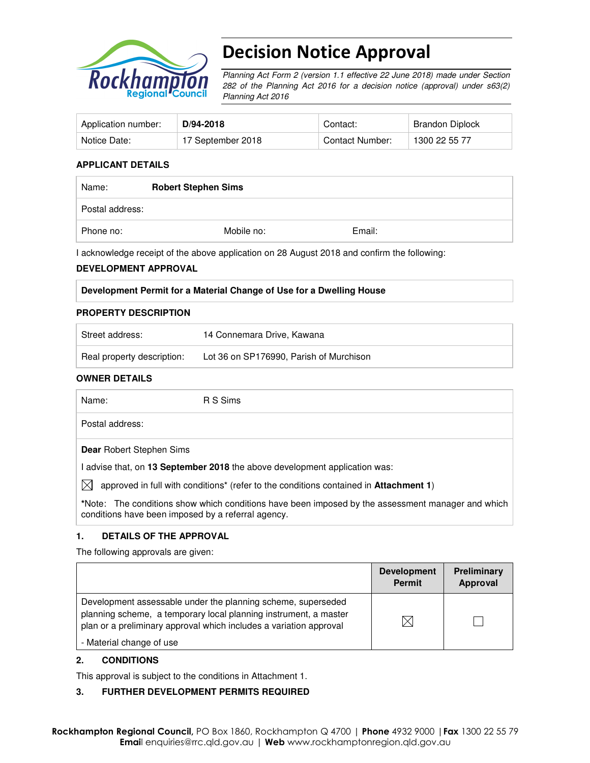

# Decision Notice Approval

Planning Act Form 2 (version 1.1 effective 22 June 2018) made under Section 282 of the Planning Act 2016 for a decision notice (approval) under s63(2) Planning Act 2016

| Application number: | D/94-2018         | Contact:        | Brandon Diplock |
|---------------------|-------------------|-----------------|-----------------|
| Notice Date:        | 17 September 2018 | Contact Number: | 1300 22 55 77   |

## **APPLICANT DETAILS**

| Name:           | <b>Robert Stephen Sims</b> |        |  |
|-----------------|----------------------------|--------|--|
| Postal address: |                            |        |  |
| Phone no:       | Mobile no:                 | Email: |  |

I acknowledge receipt of the above application on 28 August 2018 and confirm the following:

#### **DEVELOPMENT APPROVAL**

| Development Permit for a Material Change of Use for a Dwelling House |
|----------------------------------------------------------------------|
|----------------------------------------------------------------------|

#### **PROPERTY DESCRIPTION**

| Street address:            | 14 Connemara Drive, Kawana              |
|----------------------------|-----------------------------------------|
| Real property description: | Lot 36 on SP176990, Parish of Murchison |

#### **OWNER DETAILS**

Name: R S Sims

Postal address:

**Dear** Robert Stephen Sims

I advise that, on **13 September 2018** the above development application was:

 $\bowtie$  approved in full with conditions<sup>\*</sup> (refer to the conditions contained in **Attachment 1**)

**\***Note:The conditions show which conditions have been imposed by the assessment manager and which conditions have been imposed by a referral agency.

## **1. DETAILS OF THE APPROVAL**

The following approvals are given:

|                                                                                                                                                                                                        | <b>Development</b><br><b>Permit</b> | Preliminary<br>Approval |
|--------------------------------------------------------------------------------------------------------------------------------------------------------------------------------------------------------|-------------------------------------|-------------------------|
| Development assessable under the planning scheme, superseded<br>planning scheme, a temporary local planning instrument, a master<br>plan or a preliminary approval which includes a variation approval | IX                                  |                         |
| - Material change of use                                                                                                                                                                               |                                     |                         |

## **2. CONDITIONS**

This approval is subject to the conditions in Attachment 1.

## **3. FURTHER DEVELOPMENT PERMITS REQUIRED**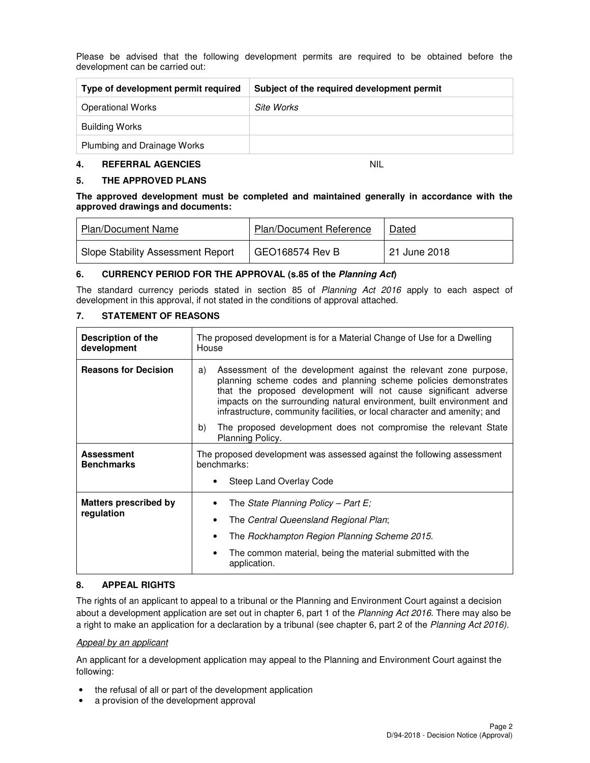Please be advised that the following development permits are required to be obtained before the development can be carried out:

| Type of development permit required | Subject of the required development permit |
|-------------------------------------|--------------------------------------------|
| <b>Operational Works</b>            | Site Works                                 |
| <b>Building Works</b>               |                                            |
| Plumbing and Drainage Works         |                                            |

#### **4. REFERRAL AGENCIES** NIL

# **5. THE APPROVED PLANS**

**The approved development must be completed and maintained generally in accordance with the approved drawings and documents:** 

| <b>Plan/Document Name</b>                | <b>Plan/Document Reference</b> | Dated        |
|------------------------------------------|--------------------------------|--------------|
| <b>Slope Stability Assessment Report</b> | GEO168574 Rev B                | 21 June 2018 |

#### **6. CURRENCY PERIOD FOR THE APPROVAL (s.85 of the Planning Act)**

The standard currency periods stated in section 85 of Planning Act 2016 apply to each aspect of development in this approval, if not stated in the conditions of approval attached.

# **7. STATEMENT OF REASONS**

| <b>Description of the</b><br>development | The proposed development is for a Material Change of Use for a Dwelling<br>House                                                                                                                                                                                                                                                                                    |  |  |
|------------------------------------------|---------------------------------------------------------------------------------------------------------------------------------------------------------------------------------------------------------------------------------------------------------------------------------------------------------------------------------------------------------------------|--|--|
| <b>Reasons for Decision</b>              | Assessment of the development against the relevant zone purpose,<br>a)<br>planning scheme codes and planning scheme policies demonstrates<br>that the proposed development will not cause significant adverse<br>impacts on the surrounding natural environment, built environment and<br>infrastructure, community facilities, or local character and amenity; and |  |  |
|                                          | b)<br>The proposed development does not compromise the relevant State<br>Planning Policy.                                                                                                                                                                                                                                                                           |  |  |
| <b>Assessment</b><br><b>Benchmarks</b>   | The proposed development was assessed against the following assessment<br>benchmarks:                                                                                                                                                                                                                                                                               |  |  |
|                                          | Steep Land Overlay Code                                                                                                                                                                                                                                                                                                                                             |  |  |
| <b>Matters prescribed by</b>             | The State Planning Policy – Part E;                                                                                                                                                                                                                                                                                                                                 |  |  |
| regulation                               | The Central Queensland Regional Plan;                                                                                                                                                                                                                                                                                                                               |  |  |
|                                          | The Rockhampton Region Planning Scheme 2015.<br>٠                                                                                                                                                                                                                                                                                                                   |  |  |
|                                          | The common material, being the material submitted with the<br>٠<br>application.                                                                                                                                                                                                                                                                                     |  |  |

## **8. APPEAL RIGHTS**

The rights of an applicant to appeal to a tribunal or the Planning and Environment Court against a decision about a development application are set out in chapter 6, part 1 of the Planning Act 2016. There may also be a right to make an application for a declaration by a tribunal (see chapter 6, part 2 of the Planning Act 2016).

#### Appeal by an applicant

An applicant for a development application may appeal to the Planning and Environment Court against the following:

- the refusal of all or part of the development application
- a provision of the development approval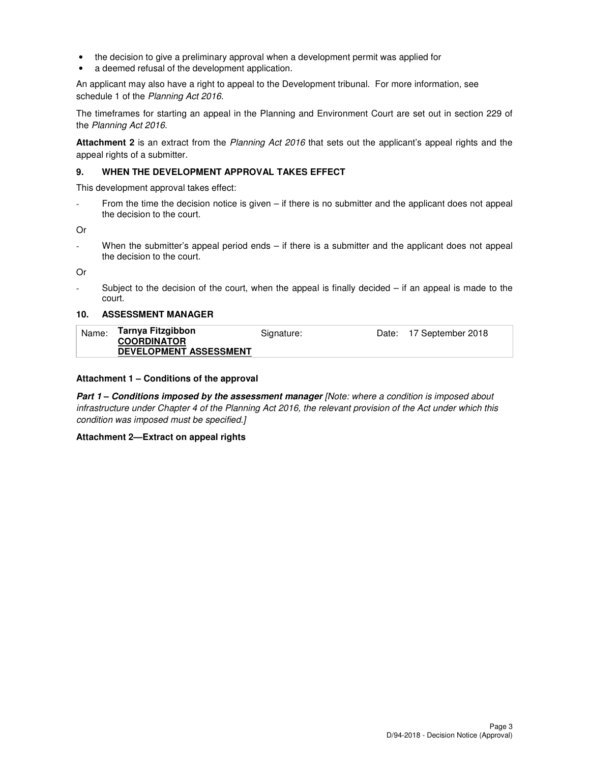- the decision to give a preliminary approval when a development permit was applied for
- a deemed refusal of the development application.

An applicant may also have a right to appeal to the Development tribunal. For more information, see schedule 1 of the Planning Act 2016.

The timeframes for starting an appeal in the Planning and Environment Court are set out in section 229 of the Planning Act 2016.

**Attachment 2** is an extract from the Planning Act 2016 that sets out the applicant's appeal rights and the appeal rights of a submitter.

#### **9. WHEN THE DEVELOPMENT APPROVAL TAKES EFFECT**

This development approval takes effect:

From the time the decision notice is given – if there is no submitter and the applicant does not appeal the decision to the court.

Or

When the submitter's appeal period ends – if there is a submitter and the applicant does not appeal the decision to the court.

Or

Subject to the decision of the court, when the appeal is finally decided  $-$  if an appeal is made to the court.

#### **10. ASSESSMENT MANAGER**

| Name: | Tarnya Fitzgibbon             | Signature: | Date: 17 September 2018 |
|-------|-------------------------------|------------|-------------------------|
|       | <b>COORDINATOR</b>            |            |                         |
|       | <b>DEVELOPMENT ASSESSMENT</b> |            |                         |

#### **Attachment 1 – Conditions of the approval**

**Part 1 – Conditions imposed by the assessment manager** [Note: where a condition is imposed about infrastructure under Chapter 4 of the Planning Act 2016, the relevant provision of the Act under which this condition was imposed must be specified.]

#### **Attachment 2—Extract on appeal rights**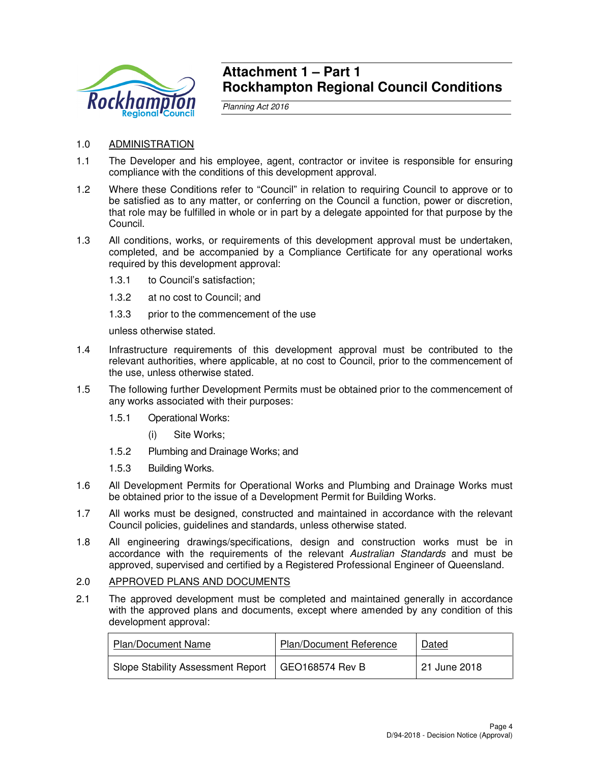

# **Attachment 1 – Part 1 Rockhampton Regional Council Conditions**

Planning Act 2016

- 1.0 ADMINISTRATION
- 1.1 The Developer and his employee, agent, contractor or invitee is responsible for ensuring compliance with the conditions of this development approval.
- 1.2 Where these Conditions refer to "Council" in relation to requiring Council to approve or to be satisfied as to any matter, or conferring on the Council a function, power or discretion, that role may be fulfilled in whole or in part by a delegate appointed for that purpose by the Council.
- 1.3 All conditions, works, or requirements of this development approval must be undertaken, completed, and be accompanied by a Compliance Certificate for any operational works required by this development approval:
	- 1.3.1 to Council's satisfaction;
	- 1.3.2 at no cost to Council; and
	- 1.3.3 prior to the commencement of the use

unless otherwise stated.

- 1.4 Infrastructure requirements of this development approval must be contributed to the relevant authorities, where applicable, at no cost to Council, prior to the commencement of the use, unless otherwise stated.
- 1.5 The following further Development Permits must be obtained prior to the commencement of any works associated with their purposes:
	- 1.5.1 Operational Works:
		- (i) Site Works;
	- 1.5.2 Plumbing and Drainage Works; and
	- 1.5.3 Building Works.
- 1.6 All Development Permits for Operational Works and Plumbing and Drainage Works must be obtained prior to the issue of a Development Permit for Building Works.
- 1.7 All works must be designed, constructed and maintained in accordance with the relevant Council policies, guidelines and standards, unless otherwise stated.
- 1.8 All engineering drawings/specifications, design and construction works must be in accordance with the requirements of the relevant Australian Standards and must be approved, supervised and certified by a Registered Professional Engineer of Queensland.

# 2.0 APPROVED PLANS AND DOCUMENTS

2.1 The approved development must be completed and maintained generally in accordance with the approved plans and documents, except where amended by any condition of this development approval:

| Plan/Document Name                                  | <b>Plan/Document Reference</b> | Dated        |
|-----------------------------------------------------|--------------------------------|--------------|
| Slope Stability Assessment Report   GEO168574 Rev B |                                | 21 June 2018 |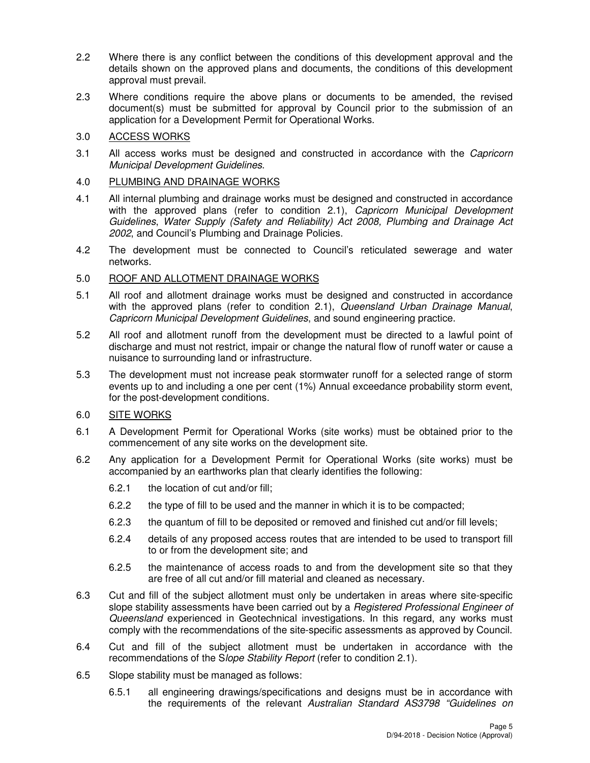- 2.2 Where there is any conflict between the conditions of this development approval and the details shown on the approved plans and documents, the conditions of this development approval must prevail.
- 2.3 Where conditions require the above plans or documents to be amended, the revised document(s) must be submitted for approval by Council prior to the submission of an application for a Development Permit for Operational Works.

# 3.0 ACCESS WORKS

3.1 All access works must be designed and constructed in accordance with the Capricorn Municipal Development Guidelines.

# 4.0 PLUMBING AND DRAINAGE WORKS

- 4.1 All internal plumbing and drainage works must be designed and constructed in accordance with the approved plans (refer to condition 2.1), Capricorn Municipal Development Guidelines, Water Supply (Safety and Reliability) Act 2008, Plumbing and Drainage Act 2002, and Council's Plumbing and Drainage Policies.
- 4.2 The development must be connected to Council's reticulated sewerage and water networks.

# 5.0 ROOF AND ALLOTMENT DRAINAGE WORKS

- 5.1 All roof and allotment drainage works must be designed and constructed in accordance with the approved plans (refer to condition 2.1), Queensland Urban Drainage Manual, Capricorn Municipal Development Guidelines, and sound engineering practice.
- 5.2 All roof and allotment runoff from the development must be directed to a lawful point of discharge and must not restrict, impair or change the natural flow of runoff water or cause a nuisance to surrounding land or infrastructure.
- 5.3 The development must not increase peak stormwater runoff for a selected range of storm events up to and including a one per cent (1%) Annual exceedance probability storm event, for the post-development conditions.

# 6.0 SITE WORKS

- 6.1 A Development Permit for Operational Works (site works) must be obtained prior to the commencement of any site works on the development site.
- 6.2 Any application for a Development Permit for Operational Works (site works) must be accompanied by an earthworks plan that clearly identifies the following:
	- 6.2.1 the location of cut and/or fill;
	- 6.2.2 the type of fill to be used and the manner in which it is to be compacted;
	- 6.2.3 the quantum of fill to be deposited or removed and finished cut and/or fill levels;
	- 6.2.4 details of any proposed access routes that are intended to be used to transport fill to or from the development site; and
	- 6.2.5 the maintenance of access roads to and from the development site so that they are free of all cut and/or fill material and cleaned as necessary.
- 6.3 Cut and fill of the subject allotment must only be undertaken in areas where site-specific slope stability assessments have been carried out by a *Registered Professional Engineer of* Queensland experienced in Geotechnical investigations. In this regard, any works must comply with the recommendations of the site-specific assessments as approved by Council.
- 6.4 Cut and fill of the subject allotment must be undertaken in accordance with the recommendations of the Slope Stability Report (refer to condition 2.1).
- 6.5 Slope stability must be managed as follows:
	- 6.5.1 all engineering drawings/specifications and designs must be in accordance with the requirements of the relevant Australian Standard AS3798 "Guidelines on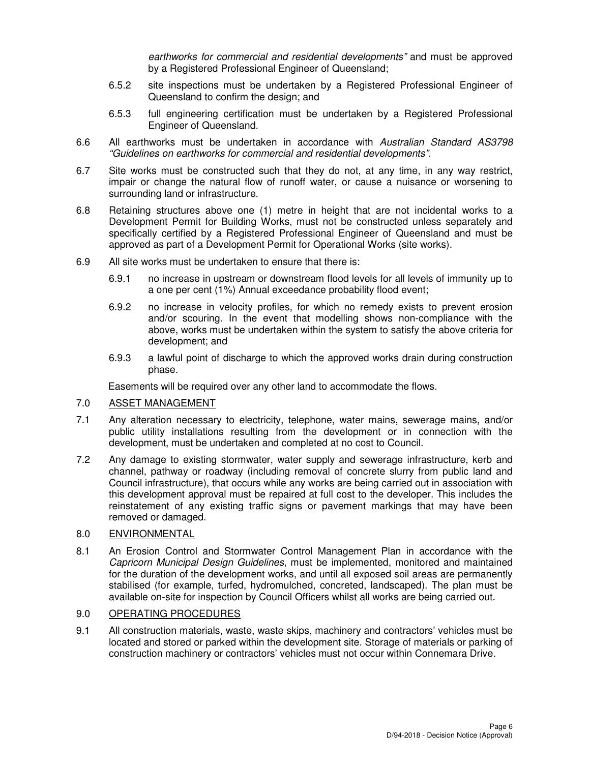earthworks for commercial and residential developments" and must be approved by a Registered Professional Engineer of Queensland;

- 6.5.2 site inspections must be undertaken by a Registered Professional Engineer of Queensland to confirm the design; and
- 6.5.3 full engineering certification must be undertaken by a Registered Professional Engineer of Queensland.
- 6.6 All earthworks must be undertaken in accordance with Australian Standard AS3798 "Guidelines on earthworks for commercial and residential developments".
- 6.7 Site works must be constructed such that they do not, at any time, in any way restrict, impair or change the natural flow of runoff water, or cause a nuisance or worsening to surrounding land or infrastructure.
- 6.8 Retaining structures above one (1) metre in height that are not incidental works to a Development Permit for Building Works, must not be constructed unless separately and specifically certified by a Registered Professional Engineer of Queensland and must be approved as part of a Development Permit for Operational Works (site works).
- 6.9 All site works must be undertaken to ensure that there is:
	- 6.9.1 no increase in upstream or downstream flood levels for all levels of immunity up to a one per cent (1%) Annual exceedance probability flood event;
	- 6.9.2 no increase in velocity profiles, for which no remedy exists to prevent erosion and/or scouring. In the event that modelling shows non-compliance with the above, works must be undertaken within the system to satisfy the above criteria for development; and
	- 6.9.3 a lawful point of discharge to which the approved works drain during construction phase.

Easements will be required over any other land to accommodate the flows.

# 7.0 ASSET MANAGEMENT

- 7.1 Any alteration necessary to electricity, telephone, water mains, sewerage mains, and/or public utility installations resulting from the development or in connection with the development, must be undertaken and completed at no cost to Council.
- 7.2 Any damage to existing stormwater, water supply and sewerage infrastructure, kerb and channel, pathway or roadway (including removal of concrete slurry from public land and Council infrastructure), that occurs while any works are being carried out in association with this development approval must be repaired at full cost to the developer. This includes the reinstatement of any existing traffic signs or pavement markings that may have been removed or damaged.

## 8.0 ENVIRONMENTAL

8.1 An Erosion Control and Stormwater Control Management Plan in accordance with the Capricorn Municipal Design Guidelines, must be implemented, monitored and maintained for the duration of the development works, and until all exposed soil areas are permanently stabilised (for example, turfed, hydromulched, concreted, landscaped). The plan must be available on-site for inspection by Council Officers whilst all works are being carried out.

# 9.0 OPERATING PROCEDURES

9.1 All construction materials, waste, waste skips, machinery and contractors' vehicles must be located and stored or parked within the development site. Storage of materials or parking of construction machinery or contractors' vehicles must not occur within Connemara Drive.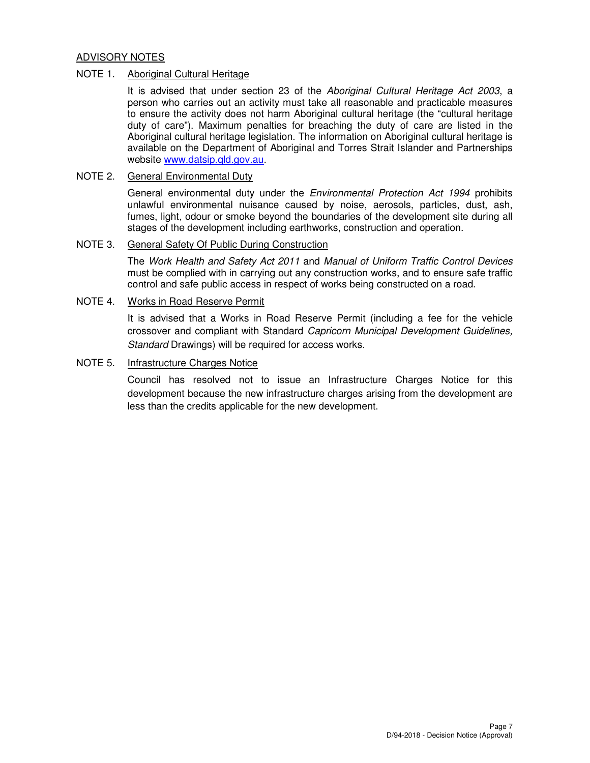# ADVISORY NOTES

# NOTE 1. Aboriginal Cultural Heritage

It is advised that under section 23 of the Aboriginal Cultural Heritage Act 2003, a person who carries out an activity must take all reasonable and practicable measures to ensure the activity does not harm Aboriginal cultural heritage (the "cultural heritage duty of care"). Maximum penalties for breaching the duty of care are listed in the Aboriginal cultural heritage legislation. The information on Aboriginal cultural heritage is available on the Department of Aboriginal and Torres Strait Islander and Partnerships website www.datsip.qld.gov.au.

# NOTE 2. General Environmental Duty

General environmental duty under the *Environmental Protection Act 1994* prohibits unlawful environmental nuisance caused by noise, aerosols, particles, dust, ash, fumes, light, odour or smoke beyond the boundaries of the development site during all stages of the development including earthworks, construction and operation.

## NOTE 3. General Safety Of Public During Construction

The Work Health and Safety Act 2011 and Manual of Uniform Traffic Control Devices must be complied with in carrying out any construction works, and to ensure safe traffic control and safe public access in respect of works being constructed on a road.

# NOTE 4. Works in Road Reserve Permit

It is advised that a Works in Road Reserve Permit (including a fee for the vehicle crossover and compliant with Standard Capricorn Municipal Development Guidelines, Standard Drawings) will be required for access works.

## NOTE 5. Infrastructure Charges Notice

Council has resolved not to issue an Infrastructure Charges Notice for this development because the new infrastructure charges arising from the development are less than the credits applicable for the new development.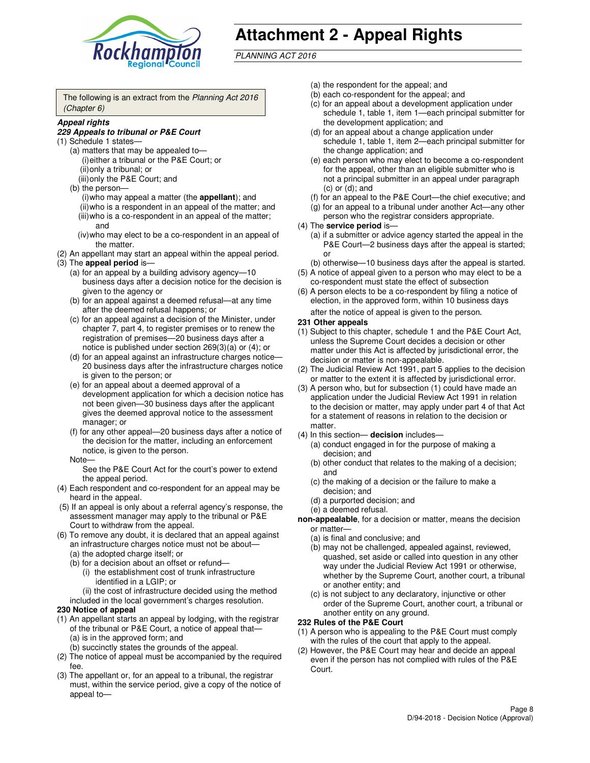

# **Attachment 2 - Appeal Rights**

PLANNING ACT 2016

The following is an extract from the Planning Act 2016 (Chapter 6)

#### **Appeal rights**

#### **229 Appeals to tribunal or P&E Court**

- (1) Schedule 1 states—
	- (a) matters that may be appealed to— (i) either a tribunal or the P&E Court; or (ii) only a tribunal; or (iii) only the P&E Court; and
	- (b) the person—
		- (i) who may appeal a matter (the **appellant**); and
		- (ii) who is a respondent in an appeal of the matter; and (iii) who is a co-respondent in an appeal of the matter; and
		- (iv) who may elect to be a co-respondent in an appeal of the matter.
- (2) An appellant may start an appeal within the appeal period.
- (3) The **appeal period** is—
	- (a) for an appeal by a building advisory agency—10 business days after a decision notice for the decision is given to the agency or
	- (b) for an appeal against a deemed refusal—at any time after the deemed refusal happens; or
	- (c) for an appeal against a decision of the Minister, under chapter 7, part 4, to register premises or to renew the registration of premises—20 business days after a notice is published under section 269(3)(a) or (4); or
	- (d) for an appeal against an infrastructure charges notice— 20 business days after the infrastructure charges notice is given to the person; or
	- (e) for an appeal about a deemed approval of a development application for which a decision notice has not been given—30 business days after the applicant gives the deemed approval notice to the assessment manager; or
	- (f) for any other appeal—20 business days after a notice of the decision for the matter, including an enforcement notice, is given to the person.
	- Note—

See the P&E Court Act for the court's power to extend the appeal period.

- (4) Each respondent and co-respondent for an appeal may be heard in the appeal.
- (5) If an appeal is only about a referral agency's response, the assessment manager may apply to the tribunal or P&E Court to withdraw from the appeal.
- (6) To remove any doubt, it is declared that an appeal against an infrastructure charges notice must not be about—
	- (a) the adopted charge itself; or
	- (b) for a decision about an offset or refund—
		- (i) the establishment cost of trunk infrastructure identified in a LGIP; or
		- (ii) the cost of infrastructure decided using the method
- included in the local government's charges resolution. **230 Notice of appeal**
- (1) An appellant starts an appeal by lodging, with the registrar of the tribunal or P&E Court, a notice of appeal that—
	- (a) is in the approved form; and
	- (b) succinctly states the grounds of the appeal.
- (2) The notice of appeal must be accompanied by the required fee.
- (3) The appellant or, for an appeal to a tribunal, the registrar must, within the service period, give a copy of the notice of appeal to—
- (a) the respondent for the appeal; and
- (b) each co-respondent for the appeal; and
- (c) for an appeal about a development application under schedule 1, table 1, item 1—each principal submitter for the development application; and
- (d) for an appeal about a change application under schedule 1, table 1, item 2—each principal submitter for the change application; and
- (e) each person who may elect to become a co-respondent for the appeal, other than an eligible submitter who is not a principal submitter in an appeal under paragraph  $(c)$  or  $(d)$ ; and
- (f) for an appeal to the P&E Court—the chief executive; and
- (g) for an appeal to a tribunal under another Act—any other person who the registrar considers appropriate.
- (4) The **service period** is—
	- (a) if a submitter or advice agency started the appeal in the P&E Court—2 business days after the appeal is started; or
	- (b) otherwise—10 business days after the appeal is started.
- (5) A notice of appeal given to a person who may elect to be a co-respondent must state the effect of subsection
- (6) A person elects to be a co-respondent by filing a notice of election, in the approved form, within 10 business days after the notice of appeal is given to the person*.*
- **231 Other appeals**
- (1) Subject to this chapter, schedule 1 and the P&E Court Act, unless the Supreme Court decides a decision or other matter under this Act is affected by jurisdictional error, the decision or matter is non-appealable.
- (2) The Judicial Review Act 1991, part 5 applies to the decision or matter to the extent it is affected by jurisdictional error.
- (3) A person who, but for subsection (1) could have made an application under the Judicial Review Act 1991 in relation to the decision or matter, may apply under part 4 of that Act for a statement of reasons in relation to the decision or matter.
- (4) In this section— **decision** includes—
	- (a) conduct engaged in for the purpose of making a decision; and
	- (b) other conduct that relates to the making of a decision; and
	- (c) the making of a decision or the failure to make a decision; and
	- (d) a purported decision; and
	- (e) a deemed refusal.

**non-appealable**, for a decision or matter, means the decision or matter—

- (a) is final and conclusive; and
- (b) may not be challenged, appealed against, reviewed, quashed, set aside or called into question in any other way under the Judicial Review Act 1991 or otherwise, whether by the Supreme Court, another court, a tribunal or another entity; and
- (c) is not subject to any declaratory, injunctive or other order of the Supreme Court, another court, a tribunal or another entity on any ground.

#### **232 Rules of the P&E Court**

- (1) A person who is appealing to the P&E Court must comply with the rules of the court that apply to the appeal.
- (2) However, the P&E Court may hear and decide an appeal even if the person has not complied with rules of the P&E Court.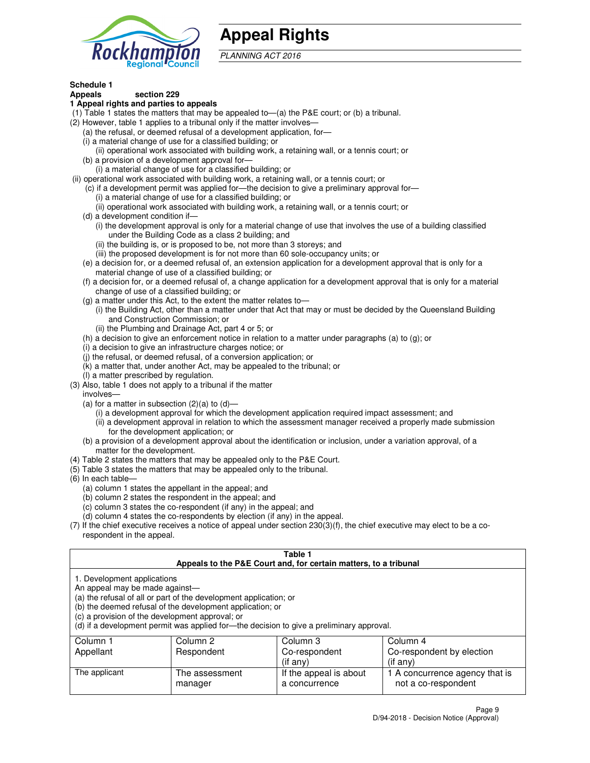

# **Appeal Rights**

PLANNING ACT 2016

# **Schedule 1**

# **Appeals section 229**

#### **1 Appeal rights and parties to appeals**

- (1) Table 1 states the matters that may be appealed to—(a) the P&E court; or (b) a tribunal.
- (2) However, table 1 applies to a tribunal only if the matter involves—
	- (a) the refusal, or deemed refusal of a development application, for—
	- (i) a material change of use for a classified building; or
	- (ii) operational work associated with building work, a retaining wall, or a tennis court; or
	- (b) a provision of a development approval for—
	- (i) a material change of use for a classified building; or
- (ii) operational work associated with building work, a retaining wall, or a tennis court; or
	- (c) if a development permit was applied for—the decision to give a preliminary approval for—
		- (i) a material change of use for a classified building; or
		- (ii) operational work associated with building work, a retaining wall, or a tennis court; or
	- (d) a development condition if—
		- (i) the development approval is only for a material change of use that involves the use of a building classified under the Building Code as a class 2 building; and
		- (ii) the building is, or is proposed to be, not more than 3 storeys; and
		- (iii) the proposed development is for not more than 60 sole-occupancy units; or
	- (e) a decision for, or a deemed refusal of, an extension application for a development approval that is only for a material change of use of a classified building; or
	- (f) a decision for, or a deemed refusal of, a change application for a development approval that is only for a material change of use of a classified building; or
	- (g) a matter under this Act, to the extent the matter relates to—
		- (i) the Building Act, other than a matter under that Act that may or must be decided by the Queensland Building and Construction Commission; or
		- (ii) the Plumbing and Drainage Act, part 4 or 5; or
	- (h) a decision to give an enforcement notice in relation to a matter under paragraphs (a) to (g); or
	- (i) a decision to give an infrastructure charges notice; or
	- (j) the refusal, or deemed refusal, of a conversion application; or
	- (k) a matter that, under another Act, may be appealed to the tribunal; or
	- (l) a matter prescribed by regulation.
- (3) Also, table 1 does not apply to a tribunal if the matter
	- involves—
	- (a) for a matter in subsection  $(2)(a)$  to  $(d)$ 
		- (i) a development approval for which the development application required impact assessment; and
		- (ii) a development approval in relation to which the assessment manager received a properly made submission for the development application; or
	- (b) a provision of a development approval about the identification or inclusion, under a variation approval, of a matter for the development.
- (4) Table 2 states the matters that may be appealed only to the P&E Court.
- (5) Table 3 states the matters that may be appealed only to the tribunal.
- (6) In each table—
	- (a) column 1 states the appellant in the appeal; and
	- (b) column 2 states the respondent in the appeal; and
	- (c) column 3 states the co-respondent (if any) in the appeal; and
	- (d) column 4 states the co-respondents by election (if any) in the appeal.
- (7) If the chief executive receives a notice of appeal under section 230(3)(f), the chief executive may elect to be a corespondent in the appeal.

| Table 1<br>Appeals to the P&E Court and, for certain matters, to a tribunal                                                                                                                                                                                                                                                                    |                           |                                         |                                                       |  |
|------------------------------------------------------------------------------------------------------------------------------------------------------------------------------------------------------------------------------------------------------------------------------------------------------------------------------------------------|---------------------------|-----------------------------------------|-------------------------------------------------------|--|
| 1. Development applications<br>An appeal may be made against-<br>(a) the refusal of all or part of the development application; or<br>(b) the deemed refusal of the development application; or<br>(c) a provision of the development approval; or<br>(d) if a development permit was applied for-the decision to give a preliminary approval. |                           |                                         |                                                       |  |
| Column 1                                                                                                                                                                                                                                                                                                                                       | Column 2                  | Column 3                                | Column 4                                              |  |
| Appellant                                                                                                                                                                                                                                                                                                                                      | Respondent                | Co-respondent<br>(if any)               | Co-respondent by election<br>$(if$ any)               |  |
| The applicant                                                                                                                                                                                                                                                                                                                                  | The assessment<br>manager | If the appeal is about<br>a concurrence | 1 A concurrence agency that is<br>not a co-respondent |  |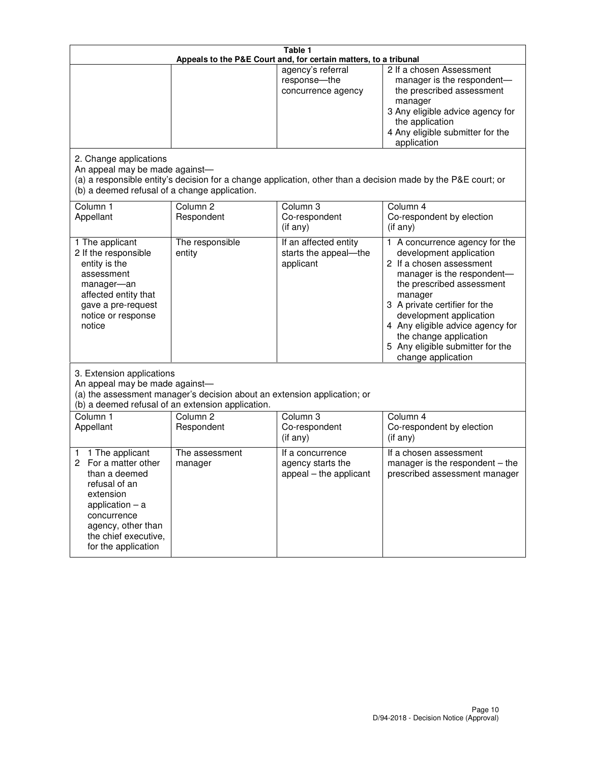| Table 1<br>Appeals to the P&E Court and, for certain matters, to a tribunal                                                                                                                             |                                   |                                                                 |                                                                                                                                                                                                                                                                                                                                                 |
|---------------------------------------------------------------------------------------------------------------------------------------------------------------------------------------------------------|-----------------------------------|-----------------------------------------------------------------|-------------------------------------------------------------------------------------------------------------------------------------------------------------------------------------------------------------------------------------------------------------------------------------------------------------------------------------------------|
|                                                                                                                                                                                                         |                                   | agency's referral<br>response-the<br>concurrence agency         | 2 If a chosen Assessment<br>manager is the respondent-<br>the prescribed assessment<br>manager<br>3 Any eligible advice agency for<br>the application<br>4 Any eligible submitter for the<br>application                                                                                                                                        |
| 2. Change applications<br>An appeal may be made against-<br>(b) a deemed refusal of a change application.                                                                                               |                                   |                                                                 | (a) a responsible entity's decision for a change application, other than a decision made by the P&E court; or                                                                                                                                                                                                                                   |
| Column 1<br>Appellant                                                                                                                                                                                   | Column <sub>2</sub><br>Respondent | Column <sub>3</sub><br>Co-respondent<br>(if any)                | Column 4<br>Co-respondent by election<br>(if any)                                                                                                                                                                                                                                                                                               |
| 1 The applicant<br>2 If the responsible<br>entity is the<br>assessment<br>manager-an<br>affected entity that<br>gave a pre-request<br>notice or response<br>notice                                      | The responsible<br>entity         | If an affected entity<br>starts the appeal-the<br>applicant     | 1 A concurrence agency for the<br>development application<br>2 If a chosen assessment<br>manager is the respondent-<br>the prescribed assessment<br>manager<br>3 A private certifier for the<br>development application<br>4 Any eligible advice agency for<br>the change application<br>5 Any eligible submitter for the<br>change application |
| 3. Extension applications<br>An appeal may be made against-<br>(a) the assessment manager's decision about an extension application; or<br>(b) a deemed refusal of an extension application.            |                                   |                                                                 |                                                                                                                                                                                                                                                                                                                                                 |
| Column 1<br>Appellant                                                                                                                                                                                   | Column <sub>2</sub><br>Respondent | Column <sub>3</sub><br>Co-respondent<br>(if any)                | Column 4<br>Co-respondent by election<br>(if any)                                                                                                                                                                                                                                                                                               |
| 1 The applicant<br>1<br>For a matter other<br>2<br>than a deemed<br>refusal of an<br>extension<br>application $-$ a<br>concurrence<br>agency, other than<br>the chief executive,<br>for the application | The assessment<br>manager         | If a concurrence<br>agency starts the<br>appeal - the applicant | If a chosen assessment<br>manager is the respondent $-$ the<br>prescribed assessment manager                                                                                                                                                                                                                                                    |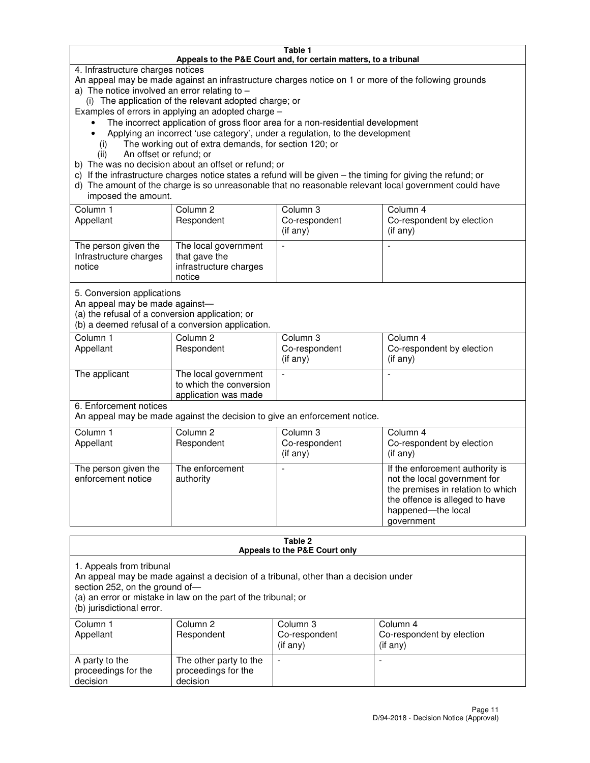#### **Table 1 Appeals to the P&E Court and, for certain matters, to a tribunal**

4. Infrastructure charges notices

An appeal may be made against an infrastructure charges notice on 1 or more of the following grounds

- a) The notice involved an error relating to
	- (i) The application of the relevant adopted charge; or

Examples of errors in applying an adopted charge –

- The incorrect application of gross floor area for a non-residential development
- Applying an incorrect 'use category', under a regulation, to the development
	- (i) The working out of extra demands, for section 120; or
	- (ii) An offset or refund; or
- b) The was no decision about an offset or refund; or
- c) If the infrastructure charges notice states a refund will be given the timing for giving the refund; or
- d) The amount of the charge is so unreasonable that no reasonable relevant local government could have imposed the amount.

| Column 1<br>Appellant                                    | Column 2<br>Respondent                                                    | Column 3<br>Co-respondent<br>$($ if any $)$ | Column 4<br>Co-respondent by election<br>$($ if any $)$ |
|----------------------------------------------------------|---------------------------------------------------------------------------|---------------------------------------------|---------------------------------------------------------|
| The person given the<br>Infrastructure charges<br>notice | The local government<br>that gave the<br>infrastructure charges<br>notice |                                             |                                                         |

5. Conversion applications

An appeal may be made against—

(a) the refusal of a conversion application; or

(b) a deemed refusal of a conversion application.

| Column 1<br>Appellant | Column 2<br>Respondent                                                  | Column 3<br>Co-respondent<br>$($ if any $)$ | Column 4<br>Co-respondent by election<br>$($ if any $)$ |
|-----------------------|-------------------------------------------------------------------------|---------------------------------------------|---------------------------------------------------------|
| The applicant         | The local government<br>to which the conversion<br>application was made |                                             |                                                         |

6. Enforcement notices

An appeal may be made against the decision to give an enforcement notice.

| Column 1<br>Appellant                      | Column 2<br>Respondent       | Column 3<br>Co-respondent<br>$($ if any $)$ | Column 4<br>Co-respondent by election<br>(if any)                                                                                                                          |
|--------------------------------------------|------------------------------|---------------------------------------------|----------------------------------------------------------------------------------------------------------------------------------------------------------------------------|
| The person given the<br>enforcement notice | The enforcement<br>authority |                                             | If the enforcement authority is<br>not the local government for<br>the premises in relation to which<br>the offence is alleged to have<br>happened-the local<br>government |

#### **Table 2 Appeals to the P&E Court only**

1. Appeals from tribunal

An appeal may be made against a decision of a tribunal, other than a decision under

section 252, on the ground of—

(a) an error or mistake in law on the part of the tribunal; or

(b) jurisdictional error.

| Column 1<br>Appellant                             | Column 2<br>Respondent                                    | Column 3<br>Co-respondent<br>(if any) | Column 4<br>Co-respondent by election<br>(if any) |
|---------------------------------------------------|-----------------------------------------------------------|---------------------------------------|---------------------------------------------------|
| A party to the<br>proceedings for the<br>decision | The other party to the<br>proceedings for the<br>decision | $\overline{\phantom{a}}$              |                                                   |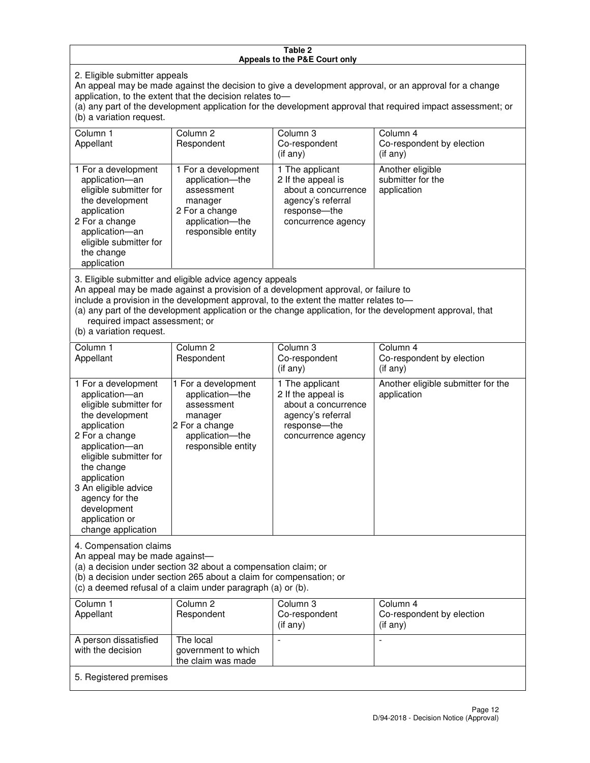#### **Table 2 Appeals to the P&E Court only**

2. Eligible submitter appeals

An appeal may be made against the decision to give a development approval, or an approval for a change application, to the extent that the decision relates to—

(a) any part of the development application for the development approval that required impact assessment; or (b) a variation request.

| Column 1<br>Appellant                                                                                                                                                                                                                                                                                                                                                                                              | Column 2<br>Respondent                                                                                                     | Column 3<br>Co-respondent<br>$(if$ any)                                                                                  | Column 4<br>Co-respondent by election<br>(if any)    |  |
|--------------------------------------------------------------------------------------------------------------------------------------------------------------------------------------------------------------------------------------------------------------------------------------------------------------------------------------------------------------------------------------------------------------------|----------------------------------------------------------------------------------------------------------------------------|--------------------------------------------------------------------------------------------------------------------------|------------------------------------------------------|--|
| 1 For a development<br>application-an<br>eligible submitter for<br>the development<br>application<br>2 For a change<br>application-an<br>eligible submitter for<br>the change<br>application                                                                                                                                                                                                                       | 1 For a development<br>application-the<br>assessment<br>manager<br>2 For a change<br>application-the<br>responsible entity | 1 The applicant<br>2 If the appeal is<br>about a concurrence<br>agency's referral<br>response--the<br>concurrence agency | Another eligible<br>submitter for the<br>application |  |
| 3. Eligible submitter and eligible advice agency appeals<br>An appeal may be made against a provision of a development approval, or failure to<br>include a provision in the development approval, to the extent the matter relates to-<br>(a) any part of the development application or the change application, for the development approval, that<br>required impact assessment; or<br>(b) a variation request. |                                                                                                                            |                                                                                                                          |                                                      |  |
| Column 1                                                                                                                                                                                                                                                                                                                                                                                                           | Column 2                                                                                                                   | Column 3                                                                                                                 | Column 4                                             |  |
| Appellant                                                                                                                                                                                                                                                                                                                                                                                                          | Respondent                                                                                                                 | Co-respondent<br>$(if$ anv)                                                                                              | Co-respondent by election<br>$(if$ anv)              |  |

| Appellant                                                                                                                                                                                                                                                                                     | Respondent                                                                                                                 | Co-respondent<br>(if any)                                                                                                 | Co-respondent by election<br>$(if$ any)           |  |
|-----------------------------------------------------------------------------------------------------------------------------------------------------------------------------------------------------------------------------------------------------------------------------------------------|----------------------------------------------------------------------------------------------------------------------------|---------------------------------------------------------------------------------------------------------------------------|---------------------------------------------------|--|
| 1 For a development<br>application-an<br>eligible submitter for<br>the development<br>application<br>2 For a change<br>application-an<br>eligible submitter for<br>the change<br>application<br>3 An eligible advice<br>agency for the<br>development<br>application or<br>change application | 1 For a development<br>application-the<br>assessment<br>manager<br>2 For a change<br>application-the<br>responsible entity | 1 The applicant<br>2 If the appeal is<br>about a concurrence<br>agency's referral<br>response---the<br>concurrence agency | Another eligible submitter for the<br>application |  |
| 4. Compensation claims<br>An appeal may be made against-<br>(a) a decision under section 32 about a compensation claim; or<br>(b) a decision under section 265 about a claim for compensation; or<br>(c) a deemed refusal of a claim under paragraph (a) or (b).                              |                                                                                                                            |                                                                                                                           |                                                   |  |
| Column 1<br>Appellant                                                                                                                                                                                                                                                                         | Column 2<br>Respondent                                                                                                     | Column 3<br>Co-respondent<br>(if any)                                                                                     | Column 4<br>Co-respondent by election<br>(if any) |  |
| A person dissatisfied                                                                                                                                                                                                                                                                         | The local                                                                                                                  |                                                                                                                           |                                                   |  |

5. Registered premises

government to which the claim was made

with the decision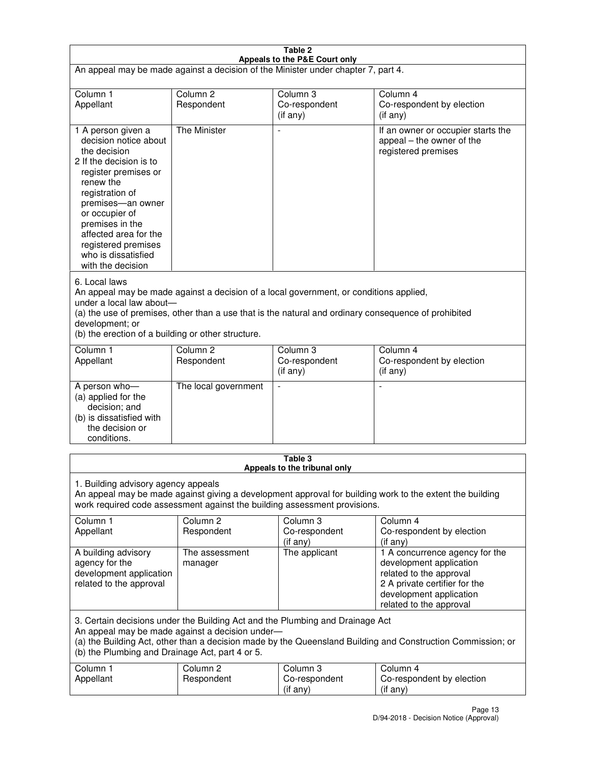| Table 2                                                                                                                                                                                                                                                                                                              |                                   |                                         |                                                                                                                                                                             |  |
|----------------------------------------------------------------------------------------------------------------------------------------------------------------------------------------------------------------------------------------------------------------------------------------------------------------------|-----------------------------------|-----------------------------------------|-----------------------------------------------------------------------------------------------------------------------------------------------------------------------------|--|
| Appeals to the P&E Court only<br>An appeal may be made against a decision of the Minister under chapter 7, part 4.                                                                                                                                                                                                   |                                   |                                         |                                                                                                                                                                             |  |
| Column 1                                                                                                                                                                                                                                                                                                             | Column <sub>2</sub>               | Column <sub>3</sub>                     | Column 4                                                                                                                                                                    |  |
| Appellant                                                                                                                                                                                                                                                                                                            | Respondent                        | Co-respondent<br>(if any)               | Co-respondent by election<br>(if any)                                                                                                                                       |  |
| 1 A person given a<br>decision notice about<br>the decision<br>2 If the decision is to<br>register premises or<br>renew the<br>registration of<br>premises-an owner<br>or occupier of<br>premises in the<br>affected area for the<br>registered premises<br>who is dissatisfied<br>with the decision                 | <b>The Minister</b>               | ÷,                                      | If an owner or occupier starts the<br>appeal – the owner of the<br>registered premises                                                                                      |  |
| 6. Local laws<br>An appeal may be made against a decision of a local government, or conditions applied,<br>under a local law about-<br>(a) the use of premises, other than a use that is the natural and ordinary consequence of prohibited<br>development; or<br>(b) the erection of a building or other structure. |                                   |                                         |                                                                                                                                                                             |  |
| Column 1<br>Appellant                                                                                                                                                                                                                                                                                                | Column 2<br>Respondent            | Column 3<br>Co-respondent<br>(if any)   | Column 4<br>Co-respondent by election<br>(if any)                                                                                                                           |  |
| A person who-<br>(a) applied for the<br>decision; and<br>(b) is dissatisfied with<br>the decision or<br>conditions.                                                                                                                                                                                                  | The local government              |                                         |                                                                                                                                                                             |  |
|                                                                                                                                                                                                                                                                                                                      |                                   | Table 3<br>Appeals to the tribunal only |                                                                                                                                                                             |  |
| 1. Building advisory agency appeals<br>An appeal may be made against giving a development approval for building work to the extent the building<br>work required code assessment against the building assessment provisions.                                                                                         |                                   |                                         |                                                                                                                                                                             |  |
| Column 1<br>Appellant                                                                                                                                                                                                                                                                                                | Column <sub>2</sub><br>Respondent | Column 3<br>Co-respondent<br>(if any)   | Column 4<br>Co-respondent by election<br>(if any)                                                                                                                           |  |
| A building advisory<br>agency for the<br>development application<br>related to the approval                                                                                                                                                                                                                          | The assessment<br>manager         | The applicant                           | 1 A concurrence agency for the<br>development application<br>related to the approval<br>2 A private certifier for the<br>development application<br>related to the approval |  |
| 3. Certain decisions under the Building Act and the Plumbing and Drainage Act<br>An appeal may be made against a decision under-<br>(a) the Building Act, other than a decision made by the Queensland Building and Construction Commission; or<br>(b) the Plumbing and Drainage Act, part 4 or 5.                   |                                   |                                         |                                                                                                                                                                             |  |
| Column 1<br>Appellant                                                                                                                                                                                                                                                                                                | Column <sub>2</sub><br>Respondent | Column 3<br>Co-respondent<br>(if any)   | Column 4<br>Co-respondent by election<br>(if any)                                                                                                                           |  |